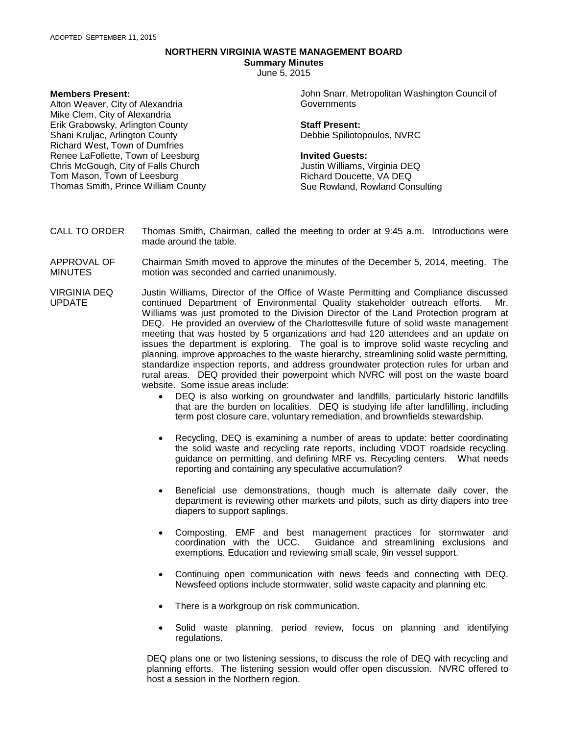## **NORTHERN VIRGINIA WASTE MANAGEMENT BOARD**

**Summary Minutes**

June 5, 2015

## **Members Present:**

Alton Weaver, City of Alexandria Mike Clem, City of Alexandria Erik Grabowsky, Arlington County Shani Kruljac, Arlington County Richard West, Town of Dumfries Renee LaFollette, Town of Leesburg Chris McGough, City of Falls Church Tom Mason, Town of Leesburg Thomas Smith, Prince William County John Snarr, Metropolitan Washington Council of **Governments** 

**Staff Present:** Debbie Spiliotopoulos, NVRC

## **Invited Guests:**

Justin Williams, Virginia DEQ Richard Doucette, VA DEQ Sue Rowland, Rowland Consulting

- CALL TO ORDER Thomas Smith, Chairman, called the meeting to order at 9:45 a.m. Introductions were made around the table.
- APPROVAL OF MINUTES Chairman Smith moved to approve the minutes of the December 5, 2014, meeting. The motion was seconded and carried unanimously.
- VIRGINIA DEQ UPDATE Justin Williams, Director of the Office of Waste Permitting and Compliance discussed continued Department of Environmental Quality stakeholder outreach efforts. Mr. Williams was just promoted to the Division Director of the Land Protection program at DEQ. He provided an overview of the Charlottesville future of solid waste management meeting that was hosted by 5 organizations and had 120 attendees and an update on issues the department is exploring. The goal is to improve solid waste recycling and planning, improve approaches to the waste hierarchy, streamlining solid waste permitting, standardize inspection reports, and address groundwater protection rules for urban and rural areas. DEQ provided their powerpoint which NVRC will post on the waste board website. Some issue areas include:
	- DEQ is also working on groundwater and landfills, particularly historic landfills that are the burden on localities. DEQ is studying life after landfilling, including term post closure care, voluntary remediation, and brownfields stewardship.
	- Recycling, DEQ is examining a number of areas to update: better coordinating the solid waste and recycling rate reports, including VDOT roadside recycling, guidance on permitting, and defining MRF vs. Recycling centers. What needs reporting and containing any speculative accumulation?
	- Beneficial use demonstrations, though much is alternate daily cover, the department is reviewing other markets and pilots, such as dirty diapers into tree diapers to support saplings.
	- Composting, EMF and best management practices for stormwater and Guidance and streamlining exclusions and exemptions. Education and reviewing small scale, 9in vessel support.
	- Continuing open communication with news feeds and connecting with DEQ. Newsfeed options include stormwater, solid waste capacity and planning etc.
	- There is a workgroup on risk communication.
	- Solid waste planning, period review, focus on planning and identifying regulations.

DEQ plans one or two listening sessions, to discuss the role of DEQ with recycling and planning efforts. The listening session would offer open discussion. NVRC offered to host a session in the Northern region.